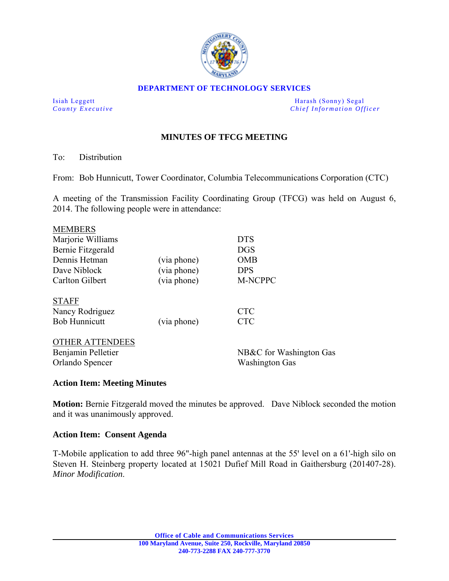

#### **DEPARTMENT OF TECHNOLOGY SERVICES**

Isiah Leggett **Harash (Sonny)** Segal *County Executive* **Countries and** *Chief Information Officer Chief Information Officer* 

# **MINUTES OF TFCG MEETING**

To: Distribution

From: Bob Hunnicutt, Tower Coordinator, Columbia Telecommunications Corporation (CTC)

A meeting of the Transmission Facility Coordinating Group (TFCG) was held on August 6, 2014. The following people were in attendance:

| <b>MEMBERS</b>         |             |                         |
|------------------------|-------------|-------------------------|
| Marjorie Williams      |             | <b>DTS</b>              |
| Bernie Fitzgerald      |             | <b>DGS</b>              |
| Dennis Hetman          | (via phone) | <b>OMB</b>              |
| Dave Niblock           | (via phone) | <b>DPS</b>              |
| <b>Carlton Gilbert</b> | (via phone) | <b>M-NCPPC</b>          |
| <b>STAFF</b>           |             |                         |
| Nancy Rodriguez        |             | <b>CTC</b>              |
| <b>Bob Hunnicutt</b>   | (via phone) | <b>CTC</b>              |
| <b>OTHER ATTENDEES</b> |             |                         |
| Benjamin Pelletier     |             | NB&C for Washington Gas |
| Orlando Spencer        |             | <b>Washington Gas</b>   |
|                        |             |                         |

## **Action Item: Meeting Minutes**

**Motion:** Bernie Fitzgerald moved the minutes be approved. Dave Niblock seconded the motion and it was unanimously approved.

### **Action Item: Consent Agenda**

T-Mobile application to add three 96"-high panel antennas at the 55' level on a 61'-high silo on Steven H. Steinberg property located at 15021 Dufief Mill Road in Gaithersburg (201407-28). *Minor Modification*.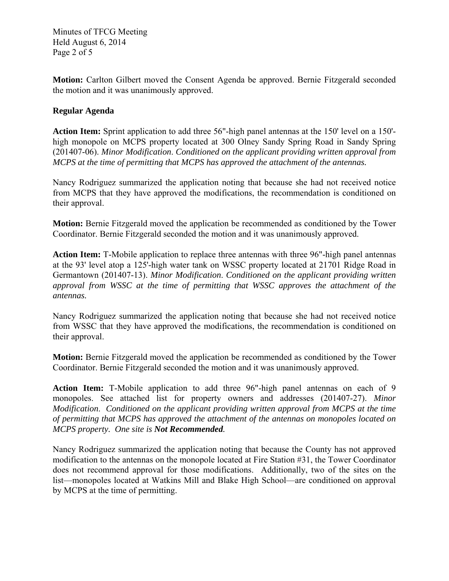Minutes of TFCG Meeting Held August 6, 2014 Page 2 of 5

**Motion:** Carlton Gilbert moved the Consent Agenda be approved. Bernie Fitzgerald seconded the motion and it was unanimously approved.

## **Regular Agenda**

**Action Item:** Sprint application to add three 56"-high panel antennas at the 150' level on a 150' high monopole on MCPS property located at 300 Olney Sandy Spring Road in Sandy Spring (201407-06). *Minor Modification*. *Conditioned on the applicant providing written approval from MCPS at the time of permitting that MCPS has approved the attachment of the antennas.* 

Nancy Rodriguez summarized the application noting that because she had not received notice from MCPS that they have approved the modifications, the recommendation is conditioned on their approval.

**Motion:** Bernie Fitzgerald moved the application be recommended as conditioned by the Tower Coordinator. Bernie Fitzgerald seconded the motion and it was unanimously approved.

**Action Item:** T-Mobile application to replace three antennas with three 96"-high panel antennas at the 93' level atop a 125'-high water tank on WSSC property located at 21701 Ridge Road in Germantown (201407-13). *Minor Modification*. *Conditioned on the applicant providing written approval from WSSC at the time of permitting that WSSC approves the attachment of the antennas.* 

Nancy Rodriguez summarized the application noting that because she had not received notice from WSSC that they have approved the modifications, the recommendation is conditioned on their approval.

**Motion:** Bernie Fitzgerald moved the application be recommended as conditioned by the Tower Coordinator. Bernie Fitzgerald seconded the motion and it was unanimously approved.

**Action Item:** T-Mobile application to add three 96"-high panel antennas on each of 9 monopoles. See attached list for property owners and addresses (201407-27). *Minor Modification*. *Conditioned on the applicant providing written approval from MCPS at the time of permitting that MCPS has approved the attachment of the antennas on monopoles located on MCPS property. One site is Not Recommended.* 

Nancy Rodriguez summarized the application noting that because the County has not approved modification to the antennas on the monopole located at Fire Station #31, the Tower Coordinator does not recommend approval for those modifications. Additionally, two of the sites on the list—monopoles located at Watkins Mill and Blake High School—are conditioned on approval by MCPS at the time of permitting.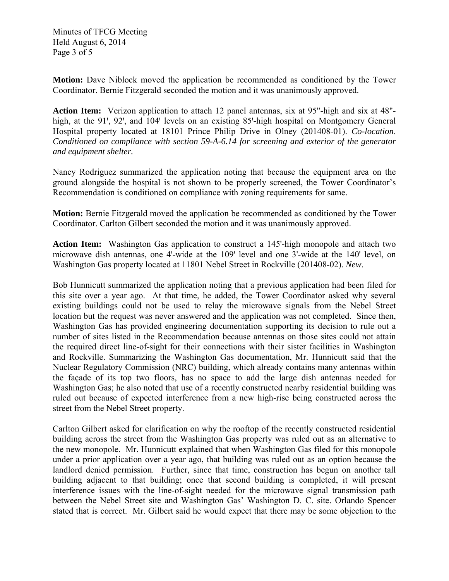Minutes of TFCG Meeting Held August 6, 2014 Page 3 of 5

**Motion:** Dave Niblock moved the application be recommended as conditioned by the Tower Coordinator. Bernie Fitzgerald seconded the motion and it was unanimously approved.

**Action Item:** Verizon application to attach 12 panel antennas, six at 95"-high and six at 48" high, at the 91', 92', and 104' levels on an existing 85'-high hospital on Montgomery General Hospital property located at 18101 Prince Philip Drive in Olney (201408-01). *Co-location*. *Conditioned on compliance with section 59-A-6.14 for screening and exterior of the generator and equipment shelter.* 

Nancy Rodriguez summarized the application noting that because the equipment area on the ground alongside the hospital is not shown to be properly screened, the Tower Coordinator's Recommendation is conditioned on compliance with zoning requirements for same.

**Motion:** Bernie Fitzgerald moved the application be recommended as conditioned by the Tower Coordinator. Carlton Gilbert seconded the motion and it was unanimously approved.

**Action Item:** Washington Gas application to construct a 145'-high monopole and attach two microwave dish antennas, one 4'-wide at the 109' level and one 3'-wide at the 140' level, on Washington Gas property located at 11801 Nebel Street in Rockville (201408-02). *New*.

Bob Hunnicutt summarized the application noting that a previous application had been filed for this site over a year ago. At that time, he added, the Tower Coordinator asked why several existing buildings could not be used to relay the microwave signals from the Nebel Street location but the request was never answered and the application was not completed. Since then, Washington Gas has provided engineering documentation supporting its decision to rule out a number of sites listed in the Recommendation because antennas on those sites could not attain the required direct line-of-sight for their connections with their sister facilities in Washington and Rockville. Summarizing the Washington Gas documentation, Mr. Hunnicutt said that the Nuclear Regulatory Commission (NRC) building, which already contains many antennas within the façade of its top two floors, has no space to add the large dish antennas needed for Washington Gas; he also noted that use of a recently constructed nearby residential building was ruled out because of expected interference from a new high-rise being constructed across the street from the Nebel Street property.

Carlton Gilbert asked for clarification on why the rooftop of the recently constructed residential building across the street from the Washington Gas property was ruled out as an alternative to the new monopole. Mr. Hunnicutt explained that when Washington Gas filed for this monopole under a prior application over a year ago, that building was ruled out as an option because the landlord denied permission. Further, since that time, construction has begun on another tall building adjacent to that building; once that second building is completed, it will present interference issues with the line-of-sight needed for the microwave signal transmission path between the Nebel Street site and Washington Gas' Washington D. C. site. Orlando Spencer stated that is correct. Mr. Gilbert said he would expect that there may be some objection to the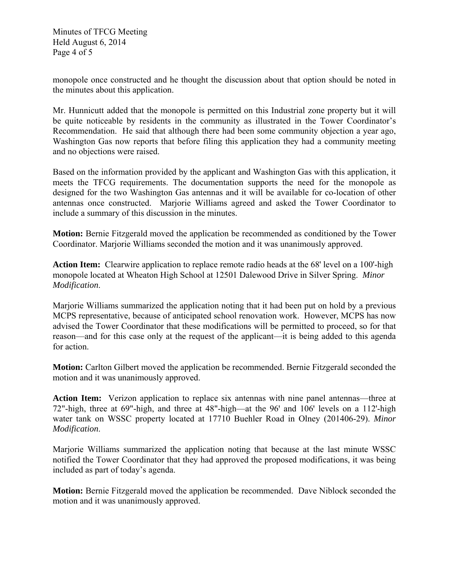Minutes of TFCG Meeting Held August 6, 2014 Page 4 of 5

monopole once constructed and he thought the discussion about that option should be noted in the minutes about this application.

Mr. Hunnicutt added that the monopole is permitted on this Industrial zone property but it will be quite noticeable by residents in the community as illustrated in the Tower Coordinator's Recommendation. He said that although there had been some community objection a year ago, Washington Gas now reports that before filing this application they had a community meeting and no objections were raised.

Based on the information provided by the applicant and Washington Gas with this application, it meets the TFCG requirements. The documentation supports the need for the monopole as designed for the two Washington Gas antennas and it will be available for co-location of other antennas once constructed. Marjorie Williams agreed and asked the Tower Coordinator to include a summary of this discussion in the minutes.

**Motion:** Bernie Fitzgerald moved the application be recommended as conditioned by the Tower Coordinator. Marjorie Williams seconded the motion and it was unanimously approved.

**Action Item:** Clearwire application to replace remote radio heads at the 68' level on a 100'-high monopole located at Wheaton High School at 12501 Dalewood Drive in Silver Spring. *Minor Modification*.

Marjorie Williams summarized the application noting that it had been put on hold by a previous MCPS representative, because of anticipated school renovation work. However, MCPS has now advised the Tower Coordinator that these modifications will be permitted to proceed, so for that reason—and for this case only at the request of the applicant—it is being added to this agenda for action.

**Motion:** Carlton Gilbert moved the application be recommended. Bernie Fitzgerald seconded the motion and it was unanimously approved.

**Action Item:** Verizon application to replace six antennas with nine panel antennas—three at 72"-high, three at 69"-high, and three at  $48"$ -high—at the  $96'$  and  $106'$  levels on a 112'-high water tank on WSSC property located at 17710 Buehler Road in Olney (201406-29). *Minor Modification*.

Marjorie Williams summarized the application noting that because at the last minute WSSC notified the Tower Coordinator that they had approved the proposed modifications, it was being included as part of today's agenda.

**Motion:** Bernie Fitzgerald moved the application be recommended. Dave Niblock seconded the motion and it was unanimously approved.